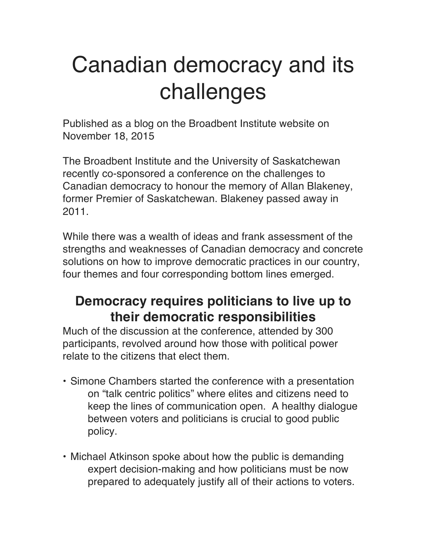# Canadian democracy and its challenges

Published as a blog on the Broadbent Institute website on November 18, 2015

The Broadbent Institute and the University of Saskatchewan recently co-sponsored a conference on the challenges to Canadian democracy to honour the memory of Allan Blakeney, former Premier of Saskatchewan. Blakeney passed away in 2011.

While there was a wealth of ideas and frank assessment of the strengths and weaknesses of Canadian democracy and concrete solutions on how to improve democratic practices in our country, four themes and four corresponding bottom lines emerged.

## **Democracy requires politicians to live up to their democratic responsibilities**

Much of the discussion at the conference, attended by 300 participants, revolved around how those with political power relate to the citizens that elect them.

- Simone Chambers started the conference with a presentation on "talk centric politics" where elites and citizens need to keep the lines of communication open. A healthy dialogue between voters and politicians is crucial to good public policy.
- Michael Atkinson spoke about how the public is demanding expert decision-making and how politicians must be now prepared to adequately justify all of their actions to voters.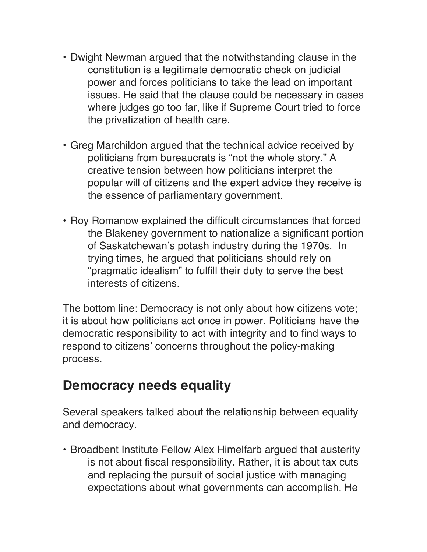- Dwight Newman argued that the notwithstanding clause in the constitution is a legitimate democratic check on judicial power and forces politicians to take the lead on important issues. He said that the clause could be necessary in cases where judges go too far, like if Supreme Court tried to force the privatization of health care.
- Greg Marchildon argued that the technical advice received by politicians from bureaucrats is "not the whole story." A creative tension between how politicians interpret the popular will of citizens and the expert advice they receive is the essence of parliamentary government.
- Roy Romanow explained the difficult circumstances that forced the Blakeney government to nationalize a significant portion of Saskatchewan's potash industry during the 1970s. In trying times, he argued that politicians should rely on "pragmatic idealism" to fulfill their duty to serve the best interests of citizens.

The bottom line: Democracy is not only about how citizens vote; it is about how politicians act once in power. Politicians have the democratic responsibility to act with integrity and to find ways to respond to citizens' concerns throughout the policy-making process.

### **Democracy needs equality**

Several speakers talked about the relationship between equality and democracy.

• Broadbent Institute Fellow Alex Himelfarb argued that austerity is not about fiscal responsibility. Rather, it is about tax cuts and replacing the pursuit of social justice with managing expectations about what governments can accomplish. He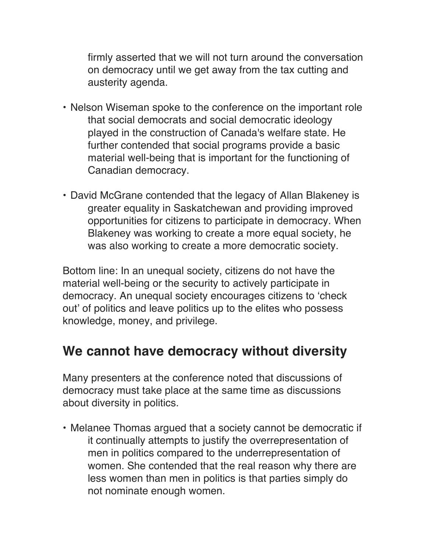firmly asserted that we will not turn around the conversation on democracy until we get away from the tax cutting and austerity agenda.

- Nelson Wiseman spoke to the conference on the important role that social democrats and social democratic ideology played in the construction of Canada's welfare state. He further contended that social programs provide a basic material well-being that is important for the functioning of Canadian democracy.
- David McGrane contended that the legacy of Allan Blakeney is greater equality in Saskatchewan and providing improved opportunities for citizens to participate in democracy. When Blakeney was working to create a more equal society, he was also working to create a more democratic society.

Bottom line: In an unequal society, citizens do not have the material well-being or the security to actively participate in democracy. An unequal society encourages citizens to 'check out' of politics and leave politics up to the elites who possess knowledge, money, and privilege.

### **We cannot have democracy without diversity**

Many presenters at the conference noted that discussions of democracy must take place at the same time as discussions about diversity in politics.

• Melanee Thomas argued that a society cannot be democratic if it continually attempts to justify the overrepresentation of men in politics compared to the underrepresentation of women. She contended that the real reason why there are less women than men in politics is that parties simply do not nominate enough women.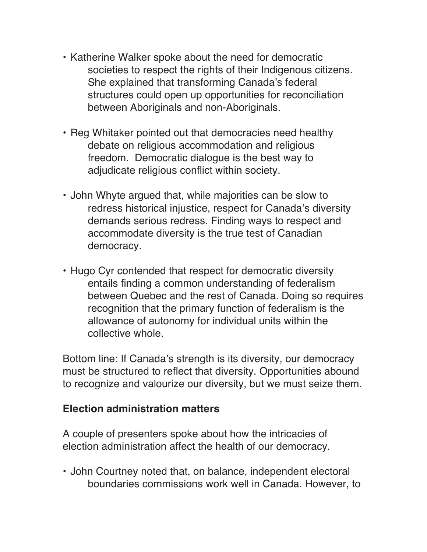- Katherine Walker spoke about the need for democratic societies to respect the rights of their Indigenous citizens. She explained that transforming Canada's federal structures could open up opportunities for reconciliation between Aboriginals and non-Aboriginals.
- Reg Whitaker pointed out that democracies need healthy debate on religious accommodation and religious freedom. Democratic dialogue is the best way to adjudicate religious conflict within society.
- John Whyte argued that, while majorities can be slow to redress historical injustice, respect for Canada's diversity demands serious redress. Finding ways to respect and accommodate diversity is the true test of Canadian democracy.
- Hugo Cyr contended that respect for democratic diversity entails finding a common understanding of federalism between Quebec and the rest of Canada. Doing so requires recognition that the primary function of federalism is the allowance of autonomy for individual units within the collective whole.

Bottom line: If Canada's strength is its diversity, our democracy must be structured to reflect that diversity. Opportunities abound to recognize and valourize our diversity, but we must seize them.

#### **Election administration matters**

A couple of presenters spoke about how the intricacies of election administration affect the health of our democracy.

• John Courtney noted that, on balance, independent electoral boundaries commissions work well in Canada. However, to